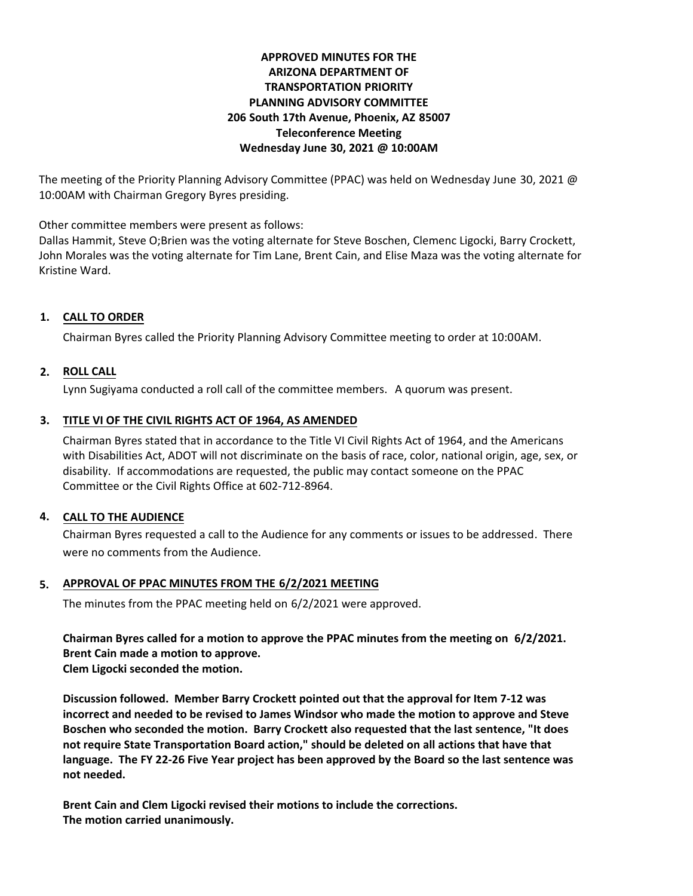### **APPROVED MINUTES FOR THE ARIZONA DEPARTMENT OF TRANSPORTATION PRIORITY PLANNING ADVISORY COMMITTEE 206 South 17th Avenue, Phoenix, AZ 85007 Teleconference Meeting Wednesday June 30, 2021 @ 10:00AM**

The meeting of the Priority Planning Advisory Committee (PPAC) was held on Wednesday June 30, 2021 @ 10:00AM with Chairman Gregory Byres presiding.

Other committee members were present as follows:

Dallas Hammit, Steve O;Brien was the voting alternate for Steve Boschen, Clemenc Ligocki, Barry Crockett, John Morales was the voting alternate for Tim Lane, Brent Cain, and Elise Maza was the voting alternate for Kristine Ward.

# **CALL TO ORDER 1.**

Chairman Byres called the Priority Planning Advisory Committee meeting to order at 10:00AM.

# **ROLL CALL 2.**

Lynn Sugiyama conducted a roll call of the committee members. A quorum was present.

#### **TITLE VI OF THE CIVIL RIGHTS ACT OF 1964, AS AMENDED 3.**

Chairman Byres stated that in accordance to the Title VI Civil Rights Act of 1964, and the Americans with Disabilities Act, ADOT will not discriminate on the basis of race, color, national origin, age, sex, or disability. If accommodations are requested, the public may contact someone on the PPAC Committee or the Civil Rights Office at 602-712-8964.

# **CALL TO THE AUDIENCE 4.**

Chairman Byres requested a call to the Audience for any comments or issues to be addressed. There were no comments from the Audience.

# **APPROVAL OF PPAC MINUTES FROM THE 6/2/2021 MEETING 5.**

The minutes from the PPAC meeting held on 6/2/2021 were approved.

**Chairman Byres called for a motion to approve the PPAC minutes from the meeting on 6/2/2021. Brent Cain made a motion to approve. Clem Ligocki seconded the motion.** 

**Discussion followed. Member Barry Crockett pointed out that the approval for Item 7-12 was incorrect and needed to be revised to James Windsor who made the motion to approve and Steve Boschen who seconded the motion. Barry Crockett also requested that the last sentence, "It does not require State Transportation Board action," should be deleted on all actions that have that language. The FY 22-26 Five Year project has been approved by the Board so the last sentence was not needed.** 

**Brent Cain and Clem Ligocki revised their motions to include the corrections. The motion carried unanimously.**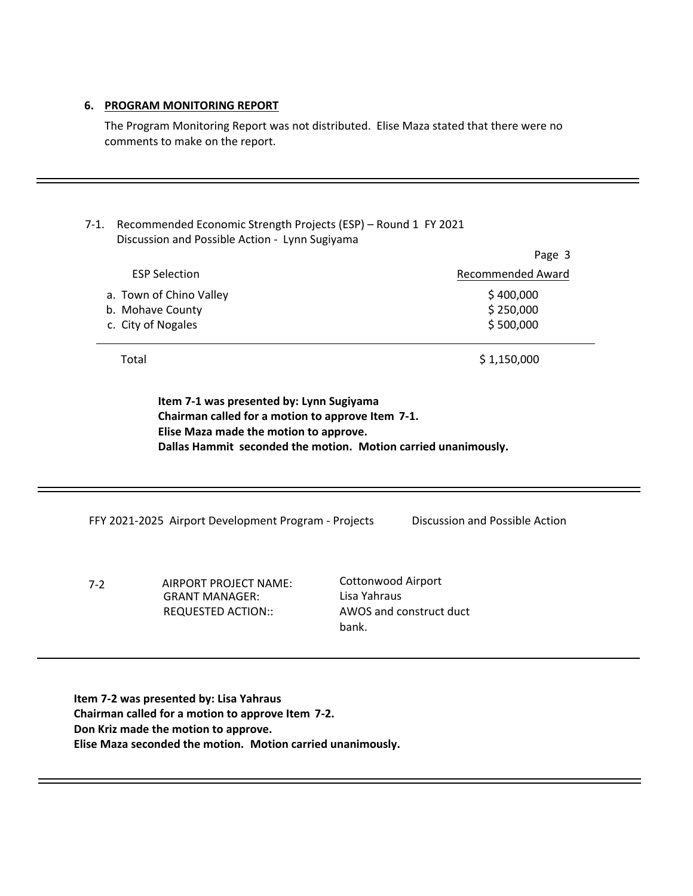#### **6. PROGRAM MONITORING REPORT**

The Program Monitoring Report was not distributed. Elise Maza stated that there were no comments to make on the report.

# 7-1. Recommended Economic Strength Projects (ESP) – Round 1 FY 2021 Discussion and Possible Action - Lynn Sugiyama

|                         | Page 3                   |
|-------------------------|--------------------------|
| <b>ESP Selection</b>    | <b>Recommended Award</b> |
| a. Town of Chino Valley | \$400,000                |
| b. Mohave County        | \$250,000                |
| c. City of Nogales      | \$500,000                |
|                         |                          |

Total \$1,150,000

**Item 7-1 was presented by: Lynn Sugiyama Chairman called for a motion to approve Item 7-1. Elise Maza made the motion to approve. Dallas Hammit seconded the motion. Motion carried unanimously.**

FFY 2021-2025 Airport Development Program - Projects Discussion and Possible Action

7-2 AIRPORT PROJECT NAME: GRANT MANAGER: REQUESTED ACTION::

Cottonwood Airport Lisa Yahraus AWOS and construct duct bank.

**Item 7-2 was presented by: Lisa Yahraus Chairman called for a motion to approve Item 7-2. Don Kriz made the motion to approve. Elise Maza seconded the motion. Motion carried unanimously.**